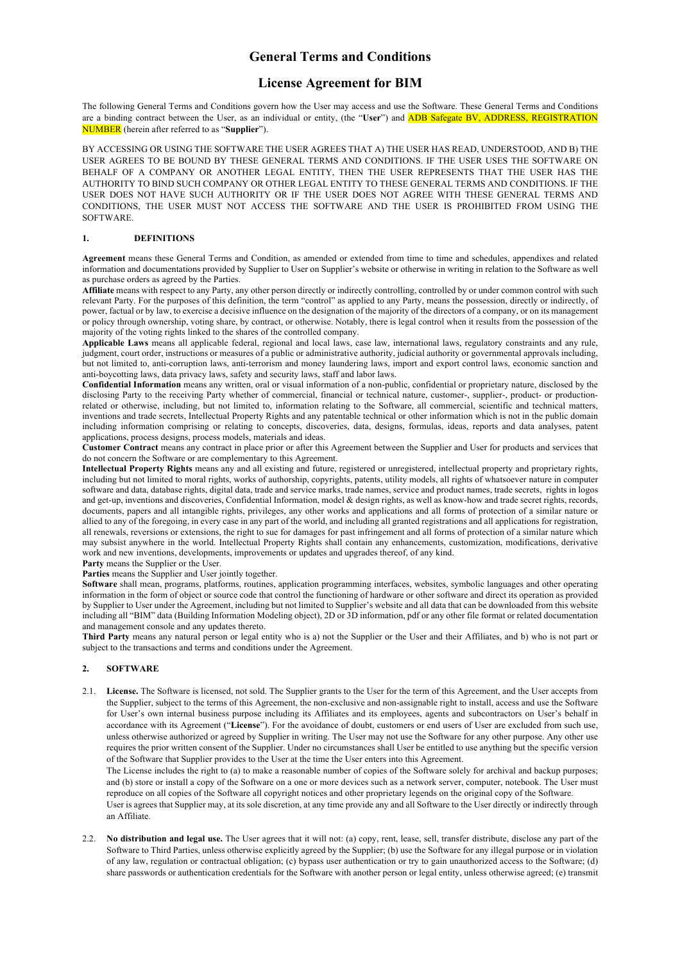## **General Terms and Conditions**

# **License Agreement for BIM**

The following General Terms and Conditions govern how the User may access and use the Software. These General Terms and Conditions are a binding contract between the User, as an individual or entity, (the "**User**") and ADB Safegate BV, ADDRESS, REGISTRATION NUMBER (herein after referred to as "**Supplier**").

BY ACCESSING OR USING THE SOFTWARE THE USER AGREES THAT A) THE USER HAS READ, UNDERSTOOD, AND B) THE USER AGREES TO BE BOUND BY THESE GENERAL TERMS AND CONDITIONS. IF THE USER USES THE SOFTWARE ON BEHALF OF A COMPANY OR ANOTHER LEGAL ENTITY, THEN THE USER REPRESENTS THAT THE USER HAS THE AUTHORITY TO BIND SUCH COMPANY OR OTHER LEGAL ENTITY TO THESE GENERAL TERMS AND CONDITIONS. IF THE USER DOES NOT HAVE SUCH AUTHORITY OR IF THE USER DOES NOT AGREE WITH THESE GENERAL TERMS AND CONDITIONS, THE USER MUST NOT ACCESS THE SOFTWARE AND THE USER IS PROHIBITED FROM USING THE SOFTWARE.

## **1. DEFINITIONS**

**Agreement** means these General Terms and Condition, as amended or extended from time to time and schedules, appendixes and related information and documentations provided by Supplier to User on Supplier's website or otherwise in writing in relation to the Software as well as purchase orders as agreed by the Parties.

**Affiliate** means with respect to any Party, any other person directly or indirectly controlling, controlled by or under common control with such relevant Party. For the purposes of this definition, the term "control" as applied to any Party, means the possession, directly or indirectly, of power, factual or by law, to exercise a decisive influence on the designation of the majority of the directors of a company, or on its management or policy through ownership, voting share, by contract, or otherwise. Notably, there is legal control when it results from the possession of the majority of the voting rights linked to the shares of the controlled company.

**Applicable Laws** means all applicable federal, regional and local laws, case law, international laws, regulatory constraints and any rule, judgment, court order, instructions or measures of a public or administrative authority, judicial authority or governmental approvals including, but not limited to, anti-corruption laws, anti-terrorism and money laundering laws, import and export control laws, economic sanction and anti-boycotting laws, data privacy laws, safety and security laws, staff and labor laws.

**Confidential Information** means any written, oral or visual information of a non-public, confidential or proprietary nature, disclosed by the disclosing Party to the receiving Party whether of commercial, financial or technical nature, customer-, supplier-, product- or productionrelated or otherwise, including, but not limited to, information relating to the Software, all commercial, scientific and technical matters, inventions and trade secrets, Intellectual Property Rights and any patentable technical or other information which is not in the public domain including information comprising or relating to concepts, discoveries, data, designs, formulas, ideas, reports and data analyses, patent applications, process designs, process models, materials and ideas.

**Customer Contract** means any contract in place prior or after this Agreement between the Supplier and User for products and services that do not concern the Software or are complementary to this Agreement.

**Intellectual Property Rights** means any and all existing and future, registered or unregistered, intellectual property and proprietary rights, including but not limited to moral rights, works of authorship, copyrights, patents, utility models, all rights of whatsoever nature in computer software and data, database rights, digital data, trade and service marks, trade names, service and product names, trade secrets, rights in logos and get-up, inventions and discoveries, Confidential Information, model & design rights, as well as know-how and trade secret rights, records, documents, papers and all intangible rights, privileges, any other works and applications and all forms of protection of a similar nature or allied to any of the foregoing, in every case in any part of the world, and including all granted registrations and all applications for registration, all renewals, reversions or extensions, the right to sue for damages for past infringement and all forms of protection of a similar nature which may subsist anywhere in the world. Intellectual Property Rights shall contain any enhancements, customization, modifications, derivative work and new inventions, developments, improvements or updates and upgrades thereof, of any kind.

**Party** means the Supplier or the User.

Parties means the Supplier and User jointly together.

**Software** shall mean, programs, platforms, routines, application programming interfaces, websites, symbolic languages and other operating information in the form of object or source code that control the functioning of hardware or other software and direct its operation as provided by Supplier to User under the Agreement, including but not limited to Supplier's website and all data that can be downloaded from this website including all "BIM" data (Building Information Modeling object), 2D or 3D information, pdf or any other file format or related documentation and management console and any updates thereto.

**Third Party** means any natural person or legal entity who is a) not the Supplier or the User and their Affiliates, and b) who is not part or subject to the transactions and terms and conditions under the Agreement.

## **2. SOFTWARE**

2.1. **License.** The Software is licensed, not sold. The Supplier grants to the User for the term of this Agreement, and the User accepts from the Supplier, subject to the terms of this Agreement, the non-exclusive and non-assignable right to install, access and use the Software for User's own internal business purpose including its Affiliates and its employees, agents and subcontractors on User's behalf in accordance with its Agreement ("**License**"). For the avoidance of doubt, customers or end users of User are excluded from such use, unless otherwise authorized or agreed by Supplier in writing. The User may not use the Software for any other purpose. Any other use requires the prior written consent of the Supplier. Under no circumstances shall User be entitled to use anything but the specific version of the Software that Supplier provides to the User at the time the User enters into this Agreement.

The License includes the right to (a) to make a reasonable number of copies of the Software solely for archival and backup purposes; and (b) store or install a copy of the Software on a one or more devices such as a network server, computer, notebook. The User must reproduce on all copies of the Software all copyright notices and other proprietary legends on the original copy of the Software.

User is agrees that Supplier may, at its sole discretion, at any time provide any and all Software to the User directly or indirectly through an Affiliate.

2.2. **No distribution and legal use.** The User agrees that it will not: (a) copy, rent, lease, sell, transfer distribute, disclose any part of the Software to Third Parties, unless otherwise explicitly agreed by the Supplier; (b) use the Software for any illegal purpose or in violation of any law, regulation or contractual obligation; (c) bypass user authentication or try to gain unauthorized access to the Software; (d) share passwords or authentication credentials for the Software with another person or legal entity, unless otherwise agreed; (e) transmit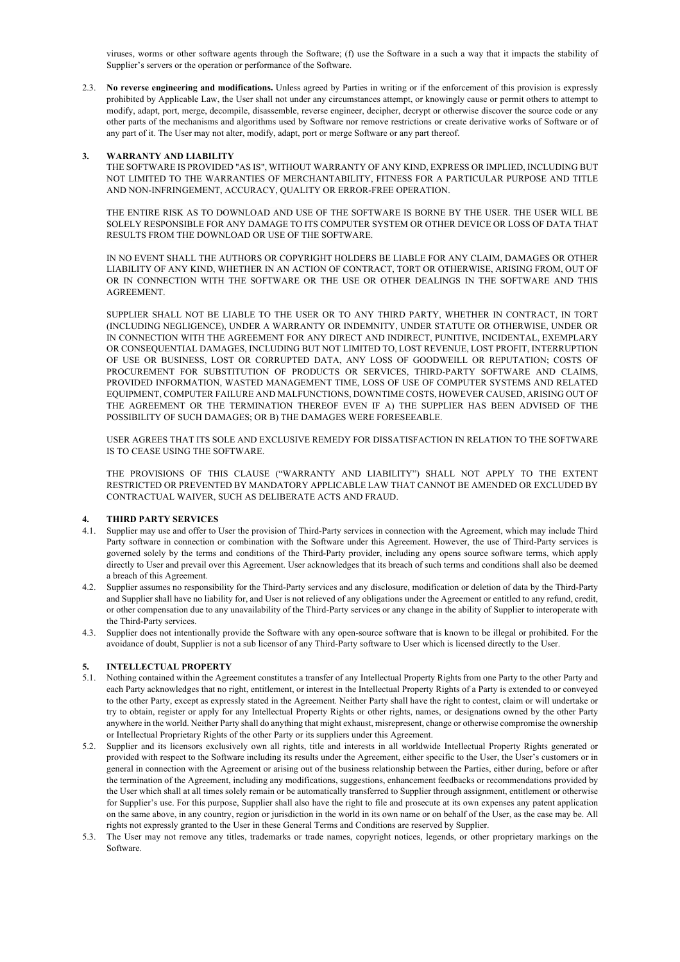viruses, worms or other software agents through the Software; (f) use the Software in a such a way that it impacts the stability of Supplier's servers or the operation or performance of the Software.

2.3. **No reverse engineering and modifications.** Unless agreed by Parties in writing or if the enforcement of this provision is expressly prohibited by Applicable Law, the User shall not under any circumstances attempt, or knowingly cause or permit others to attempt to modify, adapt, port, merge, decompile, disassemble, reverse engineer, decipher, decrypt or otherwise discover the source code or any other parts of the mechanisms and algorithms used by Software nor remove restrictions or create derivative works of Software or of any part of it. The User may not alter, modify, adapt, port or merge Software or any part thereof.

#### **3. WARRANTY AND LIABILITY**

THE SOFTWARE IS PROVIDED "AS IS", WITHOUT WARRANTY OF ANY KIND, EXPRESS OR IMPLIED, INCLUDING BUT NOT LIMITED TO THE WARRANTIES OF MERCHANTABILITY, FITNESS FOR A PARTICULAR PURPOSE AND TITLE AND NON-INFRINGEMENT, ACCURACY, QUALITY OR ERROR-FREE OPERATION.

THE ENTIRE RISK AS TO DOWNLOAD AND USE OF THE SOFTWARE IS BORNE BY THE USER. THE USER WILL BE SOLELY RESPONSIBLE FOR ANY DAMAGE TO ITS COMPUTER SYSTEM OR OTHER DEVICE OR LOSS OF DATA THAT RESULTS FROM THE DOWNLOAD OR USE OF THE SOFTWARE.

IN NO EVENT SHALL THE AUTHORS OR COPYRIGHT HOLDERS BE LIABLE FOR ANY CLAIM, DAMAGES OR OTHER LIABILITY OF ANY KIND, WHETHER IN AN ACTION OF CONTRACT, TORT OR OTHERWISE, ARISING FROM, OUT OF OR IN CONNECTION WITH THE SOFTWARE OR THE USE OR OTHER DEALINGS IN THE SOFTWARE AND THIS AGREEMENT.

SUPPLIER SHALL NOT BE LIABLE TO THE USER OR TO ANY THIRD PARTY, WHETHER IN CONTRACT, IN TORT (INCLUDING NEGLIGENCE), UNDER A WARRANTY OR INDEMNITY, UNDER STATUTE OR OTHERWISE, UNDER OR IN CONNECTION WITH THE AGREEMENT FOR ANY DIRECT AND INDIRECT, PUNITIVE, INCIDENTAL, EXEMPLARY OR CONSEQUENTIAL DAMAGES, INCLUDING BUT NOT LIMITED TO, LOST REVENUE, LOST PROFIT, INTERRUPTION OF USE OR BUSINESS, LOST OR CORRUPTED DATA, ANY LOSS OF GOODWEILL OR REPUTATION; COSTS OF PROCUREMENT FOR SUBSTITUTION OF PRODUCTS OR SERVICES, THIRD-PARTY SOFTWARE AND CLAIMS, PROVIDED INFORMATION, WASTED MANAGEMENT TIME, LOSS OF USE OF COMPUTER SYSTEMS AND RELATED EQUIPMENT, COMPUTER FAILURE AND MALFUNCTIONS, DOWNTIME COSTS, HOWEVER CAUSED, ARISING OUT OF THE AGREEMENT OR THE TERMINATION THEREOF EVEN IF A) THE SUPPLIER HAS BEEN ADVISED OF THE POSSIBILITY OF SUCH DAMAGES; OR B) THE DAMAGES WERE FORESEEABLE.

USER AGREES THAT ITS SOLE AND EXCLUSIVE REMEDY FOR DISSATISFACTION IN RELATION TO THE SOFTWARE IS TO CEASE USING THE SOFTWARE.

THE PROVISIONS OF THIS CLAUSE ("WARRANTY AND LIABILITY") SHALL NOT APPLY TO THE EXTENT RESTRICTED OR PREVENTED BY MANDATORY APPLICABLE LAW THAT CANNOT BE AMENDED OR EXCLUDED BY CONTRACTUAL WAIVER, SUCH AS DELIBERATE ACTS AND FRAUD.

#### **4. THIRD PARTY SERVICES**

- 4.1. Supplier may use and offer to User the provision of Third-Party services in connection with the Agreement, which may include Third Party software in connection or combination with the Software under this Agreement. However, the use of Third-Party services is governed solely by the terms and conditions of the Third-Party provider, including any opens source software terms, which apply directly to User and prevail over this Agreement. User acknowledges that its breach of such terms and conditions shall also be deemed a breach of this Agreement.
- 4.2. Supplier assumes no responsibility for the Third-Party services and any disclosure, modification or deletion of data by the Third-Party and Supplier shall have no liability for, and User is not relieved of any obligations under the Agreement or entitled to any refund, credit, or other compensation due to any unavailability of the Third-Party services or any change in the ability of Supplier to interoperate with the Third-Party services.
- 4.3. Supplier does not intentionally provide the Software with any open-source software that is known to be illegal or prohibited. For the avoidance of doubt, Supplier is not a sub licensor of any Third-Party software to User which is licensed directly to the User.

## **5. INTELLECTUAL PROPERTY**

- 5.1. Nothing contained within the Agreement constitutes a transfer of any Intellectual Property Rights from one Party to the other Party and each Party acknowledges that no right, entitlement, or interest in the Intellectual Property Rights of a Party is extended to or conveyed to the other Party, except as expressly stated in the Agreement. Neither Party shall have the right to contest, claim or will undertake or try to obtain, register or apply for any Intellectual Property Rights or other rights, names, or designations owned by the other Party anywhere in the world. Neither Party shall do anything that might exhaust, misrepresent, change or otherwise compromise the ownership or Intellectual Proprietary Rights of the other Party or its suppliers under this Agreement.
- 5.2. Supplier and its licensors exclusively own all rights, title and interests in all worldwide Intellectual Property Rights generated or provided with respect to the Software including its results under the Agreement, either specific to the User, the User's customers or in general in connection with the Agreement or arising out of the business relationship between the Parties, either during, before or after the termination of the Agreement, including any modifications, suggestions, enhancement feedbacks or recommendations provided by the User which shall at all times solely remain or be automatically transferred to Supplier through assignment, entitlement or otherwise for Supplier's use. For this purpose, Supplier shall also have the right to file and prosecute at its own expenses any patent application on the same above, in any country, region or jurisdiction in the world in its own name or on behalf of the User, as the case may be. All rights not expressly granted to the User in these General Terms and Conditions are reserved by Supplier.
- 5.3. The User may not remove any titles, trademarks or trade names, copyright notices, legends, or other proprietary markings on the Software.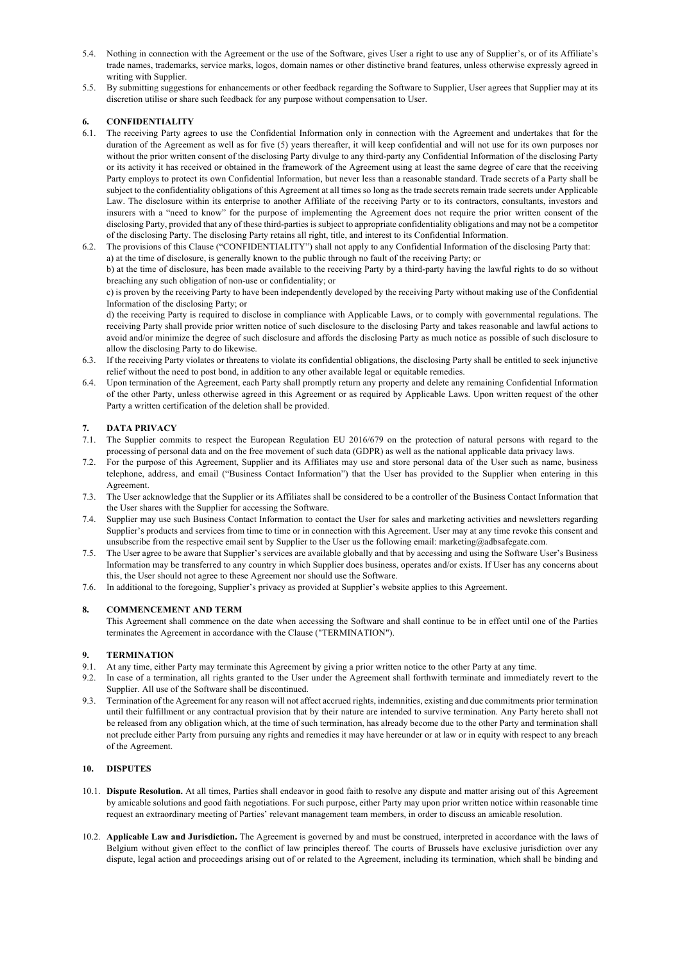- 5.4. Nothing in connection with the Agreement or the use of the Software, gives User a right to use any of Supplier's, or of its Affiliate's trade names, trademarks, service marks, logos, domain names or other distinctive brand features, unless otherwise expressly agreed in writing with Supplier.
- 5.5. By submitting suggestions for enhancements or other feedback regarding the Software to Supplier, User agrees that Supplier may at its discretion utilise or share such feedback for any purpose without compensation to User.

## **6. CONFIDENTIALITY**

- 6.1. The receiving Party agrees to use the Confidential Information only in connection with the Agreement and undertakes that for the duration of the Agreement as well as for five (5) years thereafter, it will keep confidential and will not use for its own purposes nor without the prior written consent of the disclosing Party divulge to any third-party any Confidential Information of the disclosing Party or its activity it has received or obtained in the framework of the Agreement using at least the same degree of care that the receiving Party employs to protect its own Confidential Information, but never less than a reasonable standard. Trade secrets of a Party shall be subject to the confidentiality obligations of this Agreement at all times so long as the trade secrets remain trade secrets under Applicable Law. The disclosure within its enterprise to another Affiliate of the receiving Party or to its contractors, consultants, investors and insurers with a "need to know" for the purpose of implementing the Agreement does not require the prior written consent of the disclosing Party, provided that any of these third-parties is subject to appropriate confidentiality obligations and may not be a competitor of the disclosing Party. The disclosing Party retains all right, title, and interest to its Confidential Information.
- 6.2. The provisions of this Clause ("CONFIDENTIALITY") shall not apply to any Confidential Information of the disclosing Party that: a) at the time of disclosure, is generally known to the public through no fault of the receiving Party; or

b) at the time of disclosure, has been made available to the receiving Party by a third-party having the lawful rights to do so without breaching any such obligation of non-use or confidentiality; or

c) is proven by the receiving Party to have been independently developed by the receiving Party without making use of the Confidential Information of the disclosing Party; or

d) the receiving Party is required to disclose in compliance with Applicable Laws, or to comply with governmental regulations. The receiving Party shall provide prior written notice of such disclosure to the disclosing Party and takes reasonable and lawful actions to avoid and/or minimize the degree of such disclosure and affords the disclosing Party as much notice as possible of such disclosure to allow the disclosing Party to do likewise.

- 6.3. If the receiving Party violates or threatens to violate its confidential obligations, the disclosing Party shall be entitled to seek injunctive relief without the need to post bond, in addition to any other available legal or equitable remedies.
- 6.4. Upon termination of the Agreement, each Party shall promptly return any property and delete any remaining Confidential Information of the other Party, unless otherwise agreed in this Agreement or as required by Applicable Laws. Upon written request of the other Party a written certification of the deletion shall be provided.

## **7. DATA PRIVACY**

- 7.1. The Supplier commits to respect the European Regulation EU 2016/679 on the protection of natural persons with regard to the processing of personal data and on the free movement of such data (GDPR) as well as the national applicable data privacy laws.
- 7.2. For the purpose of this Agreement, Supplier and its Affiliates may use and store personal data of the User such as name, business telephone, address, and email ("Business Contact Information") that the User has provided to the Supplier when entering in this A greement.
- 7.3. The User acknowledge that the Supplier or its Affiliates shall be considered to be a controller of the Business Contact Information that the User shares with the Supplier for accessing the Software.
- 7.4. Supplier may use such Business Contact Information to contact the User for sales and marketing activities and newsletters regarding Supplier's products and services from time to time or in connection with this Agreement. User may at any time revoke this consent and unsubscribe from the respective email sent by Supplier to the User us the following email: marketing@adbsafegate.com.
- 7.5. The User agree to be aware that Supplier's services are available globally and that by accessing and using the Software User's Business Information may be transferred to any country in which Supplier does business, operates and/or exists. If User has any concerns about this, the User should not agree to these Agreement nor should use the Software.
- 7.6. In additional to the foregoing, Supplier's privacy as provided at Supplier's website applies to this Agreement.

#### **8. COMMENCEMENT AND TERM**

This Agreement shall commence on the date when accessing the Software and shall continue to be in effect until one of the Parties terminates the Agreement in accordance with the Clause ("TERMINATION").

#### **9. TERMINATION**

- 9.1. At any time, either Party may terminate this Agreement by giving a prior written notice to the other Party at any time.
- 9.2. In case of a termination, all rights granted to the User under the Agreement shall forthwith terminate and immediately revert to the Supplier. All use of the Software shall be discontinued.
- 9.3. Termination of the Agreement for any reason will not affect accrued rights, indemnities, existing and due commitments prior termination until their fulfillment or any contractual provision that by their nature are intended to survive termination. Any Party hereto shall not be released from any obligation which, at the time of such termination, has already become due to the other Party and termination shall not preclude either Party from pursuing any rights and remedies it may have hereunder or at law or in equity with respect to any breach of the Agreement.

## **10. DISPUTES**

- 10.1. **Dispute Resolution.** At all times, Parties shall endeavor in good faith to resolve any dispute and matter arising out of this Agreement by amicable solutions and good faith negotiations. For such purpose, either Party may upon prior written notice within reasonable time request an extraordinary meeting of Parties' relevant management team members, in order to discuss an amicable resolution.
- 10.2. **Applicable Law and Jurisdiction.** The Agreement is governed by and must be construed, interpreted in accordance with the laws of Belgium without given effect to the conflict of law principles thereof. The courts of Brussels have exclusive jurisdiction over any dispute, legal action and proceedings arising out of or related to the Agreement, including its termination, which shall be binding and